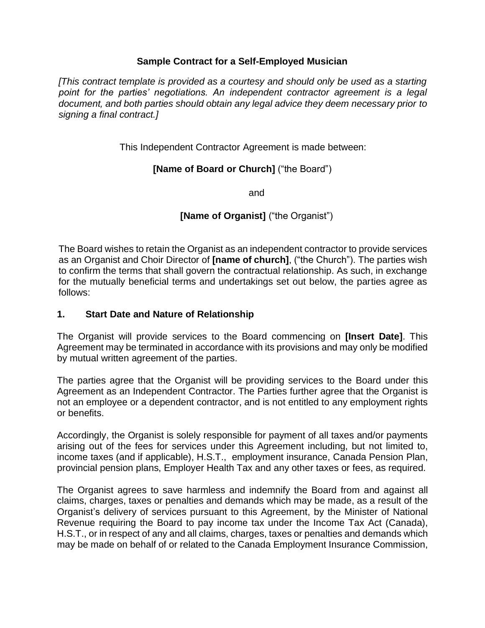#### **Sample Contract for a Self-Employed Musician**

*[This contract template is provided as a courtesy and should only be used as a starting point for the parties' negotiations. An independent contractor agreement is a legal document, and both parties should obtain any legal advice they deem necessary prior to signing a final contract.]*

This Independent Contractor Agreement is made between:

#### **[Name of Board or Church]** ("the Board")

and

### **[Name of Organist]** ("the Organist")

The Board wishes to retain the Organist as an independent contractor to provide services as an Organist and Choir Director of **[name of church]**, ("the Church"). The parties wish to confirm the terms that shall govern the contractual relationship. As such, in exchange for the mutually beneficial terms and undertakings set out below, the parties agree as follows:

1. Start Date and Nature of Relationship

The Organist will provide services to the Board commencing on [Insert Date]. This Agreement may be terminated in accordance with its provisions and may only be modified by mutual written agreement of the parties.

The parties agree that the Organist will be providing services to the Board under this Agreement as an Independent Contractor. The Parties further agree that the Organist is not an employee or a dependent contractor, and is not entitled to any employment rights or benefits.

Accordingly, the Organist is solely responsible for payment of all taxes and/or payments arising out of the fees for services under this Agreement including, but not limited to, income taxes (and if applicable), H.S.T., employment insurance, Canada Pension Plan, provincial pension plans, Employer Health Tax and any other taxes or fees, as required.

The Organist agrees to save harmless and indemnify the Board from and against all claims, charges, taxes or penalties and demands which may be made, as a result of the Organist's delivery of services pursuant to this Agreement, by the Minister of National Revenue requiring the Board to pay income tax under the Income Tax Act (Canada), H.S.T., or in respect of any and all claims, charges, taxes or penalties and demands which may be made on behalf of or related to the Canada Employment Insurance Commission,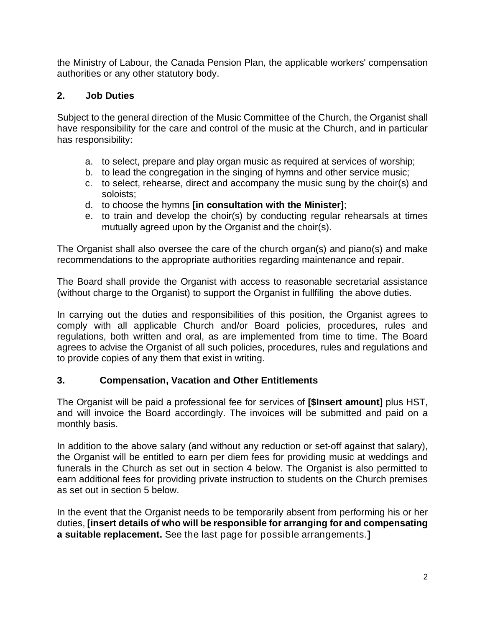the Ministry of Labour, the Canada Pension Plan, the applicable workers' compensation authorities or any other statutory body.

#### 2. Job Duties

Subject to the general direction of the Music Committee of the Church, the Organist shall have responsibility for the care and control of the music at the Church, and in particular has responsibility:

- a. to select, prepare and play organ music as required at services of worship;
- b. to lead the congregation in the singing of hymns and other service music;
- c. to select, rehearse, direct and accompany the music sung by the choir(s) and soloists;
- d. to choose the hymns **[in consultation with the Minister]**;
- e. to train and develop the choir(s) by conducting regular rehearsals at times mutually agreed upon by the Organist and the choir(s).

The Organist shall also oversee the care of the church organ(s) and piano(s) and make recommendations to the appropriate authorities regarding maintenance and repair.

The Board shall provide the Organist with access to reasonable secretarial assistance (without charge to the Organist) to support the Organist in fullfiling the above duties.

In carrying out the duties and responsibilities of this position, the Organist agrees to comply with all applicable Church and/or Board policies, procedures, rules and regulations, both written and oral, as are implemented from time to time. The Board agrees to advise the Organist of all such policies, procedures, rules and regulations and to provide copies of any them that exist in writing.

3. Compensation, Vacation and Other Entitlements

The Organist will be paid a professional fee for services of [\$Insert amount] plus HST, and will invoice the Board accordingly. The invoices will be submitted and paid on a monthly basis.

In addition to the above salary (and without any reduction or set-off against that salary), the Organist will be entitled to earn per diem fees for providing music at weddings and funerals in the Church as set out in section 4 below. The Organist is also permitted to earn additional fees for providing private instruction to students on the Church premises as set out in section 5 below.

In the event that the Organist needs to be temporarily absent from performing his or her duties, [insert details of who will be responsible for arranging for and compensating a suitable replacement. *See the last page for possible arrangements.*]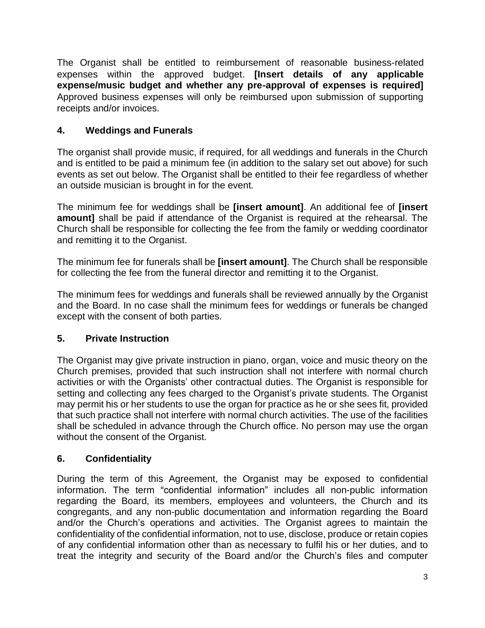The Organist shall be entitled to reimbursement of reasonable business-related expenses within the approved budget. **[Insert details of any applicable expense/music budget and whether any pre-approval of expenses is required]**  Approved business expenses will only be reimbursed upon submission of supporting receipts and/or invoices.

## **4. Weddings and Funerals**

The organist shall provide music, if required, for all weddings and funerals in the Church and is entitled to be paid a minimum fee (in addition to the salary set out above) for such events as set out below. The Organist shall be entitled to their fee regardless of whether an outside musician is brought in for the event.

The minimum fee for weddings shall be **[insert amount]**. An additional fee of **[insert amount]** shall be paid if attendance of the Organist is required at the rehearsal. The Church shall be responsible for collecting the fee from the family or wedding coordinator and remitting it to the Organist.

The minimum fee for funerals shall be **[insert amount]**. The Church shall be responsible for collecting the fee from the funeral director and remitting it to the Organist.

The minimum fees for weddings and funerals shall be reviewed annually by the Organist and the Board. In no case shall the minimum fees for weddings or funerals be changed except with the consent of both parties.

### **5. Private Instruction**

The Organist may give private instruction in piano, organ, voice and music theory on the Church premises, provided that such instruction shall not interfere with normal church activities or with the Organists' other contractual duties. The Organist is responsible for setting and collecting any fees charged to the Organist's private students. The Organist may permit his or her students to use the organ for practice as he or she sees fit, provided that such practice shall not interfere with normal church activities. The use of the facilities shall be scheduled in advance through the Church office. No person may use the organ without the consent of the Organist.

### **6. Confidentiality**

During the term of this Agreement, the Organist may be exposed to confidential information. The term "confidential information" includes all non-public information regarding the Board, its members, employees and volunteers, the Church and its congregants, and any non-public documentation and information regarding the Board and/or the Church's operations and activities. The Organist agrees to maintain the confidentiality of the confidential information, not to use, disclose, produce or retain copies of any confidential information other than as necessary to fulfil his or her duties, and to treat the integrity and security of the Board and/or the Church's files and computer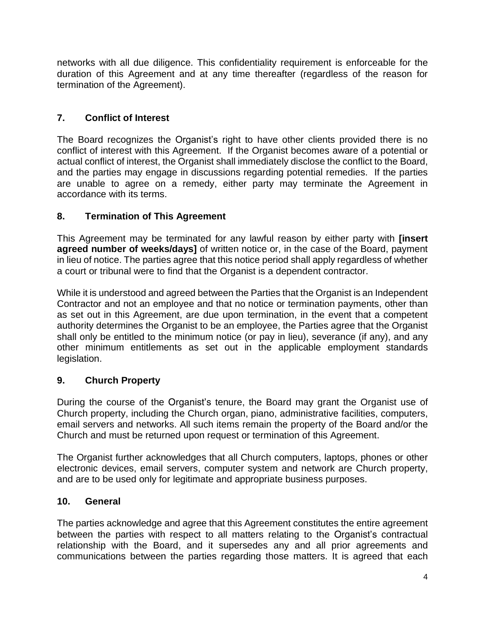networks with all due diligence. This confidentiality requirement is enforceable for the duration of this Agreement and at any time thereafter (regardless of the reason for termination of the Agreement).

#### **7. Conflict of Interest**

The Board recognizes the Organist's right to have other clients provided there is no conflict of interest with this Agreement. If the Organist becomes aware of a potential or actual conflict of interest, the Organist shall immediately disclose the conflict to the Board, and the parties may engage in discussions regarding potential remedies. If the parties are unable to agree on a remedy, either party may terminate the Agreement in accordance with its terms.

#### **8. Termination of This Agreement**

This Agreement may be terminated for any lawful reason by either party with **[insert agreed number of weeks/days]** of written notice or, in the case of the Board, payment in lieu of notice. The parties agree that this notice period shall apply regardless of whether a court or tribunal were to find that the Organist is a dependent contractor.

While it is understood and agreed between the Parties that the Organist is an Independent Contractor and not an employee and that no notice or termination payments, other than as set out in this Agreement, are due upon termination, in the event that a competent authority determines the Organist to be an employee, the Parties agree that the Organist shall only be entitled to the minimum notice (or pay in lieu), severance (if any), and any other minimum entitlements as set out in the applicable employment standards legislation.

### **9. Church Property**

During the course of the Organist's tenure, the Board may grant the Organist use of Church property, including the Church organ, piano, administrative facilities, computers, email servers and networks. All such items remain the property of the Board and/or the Church and must be returned upon request or termination of this Agreement.

The Organist further acknowledges that all Church computers, laptops, phones or other electronic devices, email servers, computer system and network are Church property, and are to be used only for legitimate and appropriate business purposes.

#### **10. General**

The parties acknowledge and agree that this Agreement constitutes the entire agreement between the parties with respect to all matters relating to the Organist's contractual relationship with the Board, and it supersedes any and all prior agreements and communications between the parties regarding those matters. It is agreed that each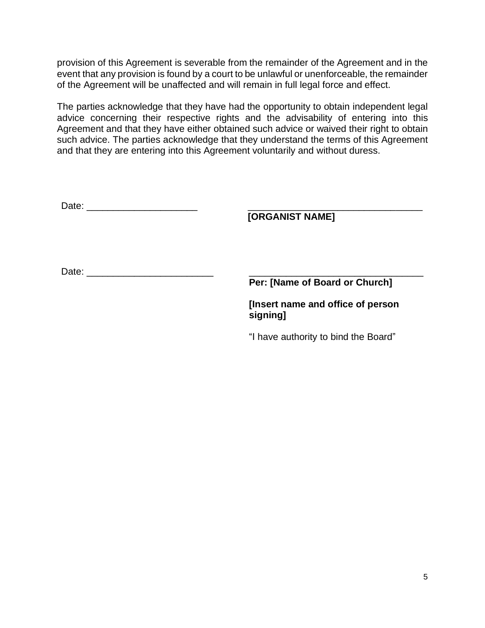provision of this Agreement is severable from the remainder of the Agreement and in the event that any provision is found by a court to be unlawful or unenforceable, the remainder of the Agreement will be unaffected and will remain in full legal force and effect.

The parties acknowledge that they have had the opportunity to obtain independent legal advice concerning their respective rights and the advisability of entering into this Agreement and that they have either obtained such advice or waived their right to obtain such advice. The parties acknowledge that they understand the terms of this Agreement and that they are entering into this Agreement voluntarily and without duress.

Date: \_\_\_\_\_\_\_\_\_\_\_\_\_\_\_\_\_\_\_\_\_ \_\_\_\_\_\_\_\_\_\_\_\_\_\_\_\_\_\_\_\_\_\_\_\_\_\_\_\_\_\_\_\_\_

**[ORGANIST NAME]**

Date:  $\Box$ 

**Per: [Name of Board or Church]**

#### **[Insert name and office of person signing]**

"I have authority to bind the Board"